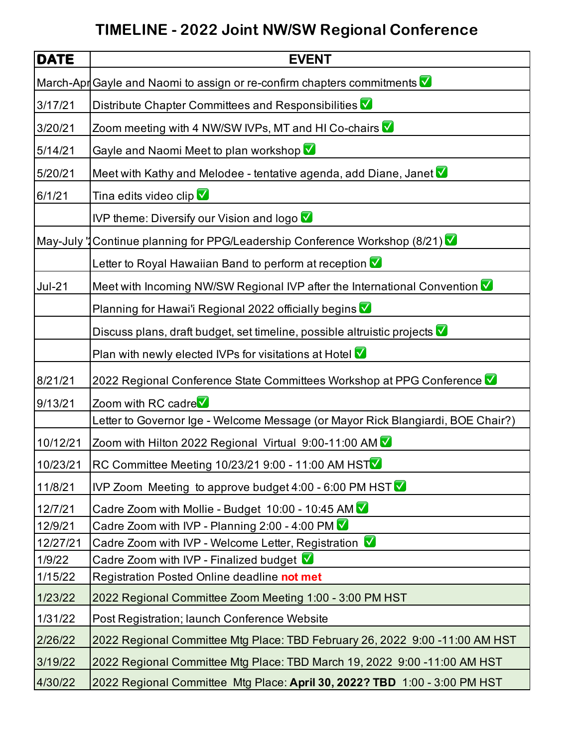## **TIMELINE - 2022 Joint NW/SW Regional Conference**

| <b>DATE</b> | <b>EVENT</b>                                                                    |
|-------------|---------------------------------------------------------------------------------|
| March-Apr   | Gayle and Naomi to assign or re-confirm chapters commitments V                  |
| 3/17/21     | Distribute Chapter Committees and Responsibilities                              |
| 3/20/21     | Zoom meeting with 4 NW/SW IVPs, MT and HI Co-chairs V                           |
| 5/14/21     | Gayle and Naomi Meet to plan workshop V                                         |
| 5/20/21     | Meet with Kathy and Melodee - tentative agenda, add Diane, Janet V              |
| 6/1/21      | Tina edits video clip V                                                         |
|             | IVP theme: Diversify our Vision and logo                                        |
| May-July "  | Continue planning for PPG/Leadership Conference Workshop (8/21)                 |
|             | Letter to Royal Hawaiian Band to perform at reception V                         |
| $Jul-21$    | Meet with Incoming NW/SW Regional IVP after the International Convention V      |
|             | Planning for Hawai'i Regional 2022 officially begins V                          |
|             | Discuss plans, draft budget, set timeline, possible altruistic projects V       |
|             | Plan with newly elected IVPs for visitations at Hotel                           |
| 8/21/21     | 2022 Regional Conference State Committees Workshop at PPG Conference V          |
| 9/13/21     | Zoom with RC cadre                                                              |
|             | Letter to Governor Ige - Welcome Message (or Mayor Rick Blangiardi, BOE Chair?) |
| 10/12/21    | Zoom with Hilton 2022 Regional Virtual 9:00-11:00 AM V                          |
| 10/23/21    | RC Committee Meeting 10/23/21 9:00 - 11:00 AM HSTV                              |
| 11/8/21     | IVP Zoom Meeting to approve budget 4:00 - 6:00 PM HST $\vee$                    |
| 12/7/21     | Cadre Zoom with Mollie - Budget 10:00 - 10:45 AM V                              |
| 12/9/21     | Cadre Zoom with IVP - Planning 2:00 - 4:00 PM $\sqrt{\phantom{a}}$              |
| 12/27/21    | Cadre Zoom with IVP - Welcome Letter, Registration V                            |
| 1/9/22      | Cadre Zoom with IVP - Finalized budget V                                        |
| 1/15/22     | Registration Posted Online deadline not met                                     |
| 1/23/22     | 2022 Regional Committee Zoom Meeting 1:00 - 3:00 PM HST                         |
| 1/31/22     | Post Registration; launch Conference Website                                    |
| 2/26/22     | 2022 Regional Committee Mtg Place: TBD February 26, 2022 9:00 -11:00 AM HST     |
| 3/19/22     | 2022 Regional Committee Mtg Place: TBD March 19, 2022 9:00 -11:00 AM HST        |
| 4/30/22     | 2022 Regional Committee Mtg Place: April 30, 2022? TBD 1:00 - 3:00 PM HST       |